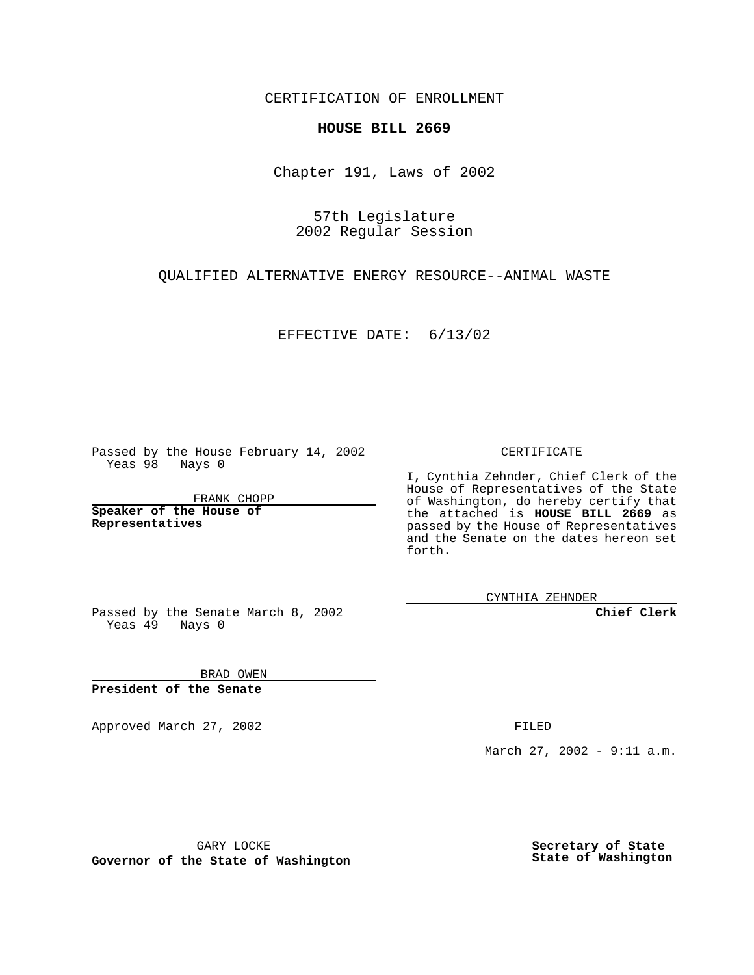CERTIFICATION OF ENROLLMENT

## **HOUSE BILL 2669**

Chapter 191, Laws of 2002

57th Legislature 2002 Regular Session

QUALIFIED ALTERNATIVE ENERGY RESOURCE--ANIMAL WASTE

EFFECTIVE DATE: 6/13/02

Passed by the House February 14, 2002 Yeas 98 Nays 0

FRANK CHOPP

**Speaker of the House of Representatives**

CERTIFICATE

I, Cynthia Zehnder, Chief Clerk of the House of Representatives of the State of Washington, do hereby certify that the attached is **HOUSE BILL 2669** as passed by the House of Representatives and the Senate on the dates hereon set forth.

CYNTHIA ZEHNDER

**Chief Clerk**

Passed by the Senate March 8, 2002 Yeas  $49$  Nays 0

BRAD OWEN **President of the Senate**

Approved March 27, 2002 **FILED** 

March 27, 2002 - 9:11 a.m.

GARY LOCKE

**Governor of the State of Washington**

**Secretary of State State of Washington**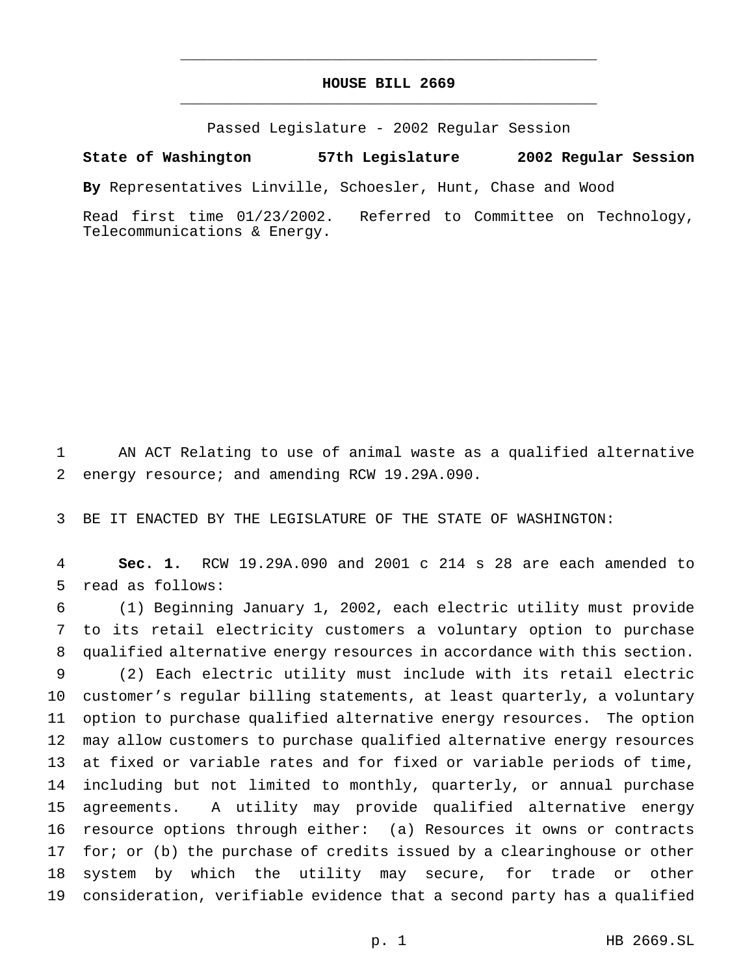## **HOUSE BILL 2669** \_\_\_\_\_\_\_\_\_\_\_\_\_\_\_\_\_\_\_\_\_\_\_\_\_\_\_\_\_\_\_\_\_\_\_\_\_\_\_\_\_\_\_\_\_\_\_

\_\_\_\_\_\_\_\_\_\_\_\_\_\_\_\_\_\_\_\_\_\_\_\_\_\_\_\_\_\_\_\_\_\_\_\_\_\_\_\_\_\_\_\_\_\_\_

Passed Legislature - 2002 Regular Session

**State of Washington 57th Legislature 2002 Regular Session**

**By** Representatives Linville, Schoesler, Hunt, Chase and Wood

Read first time 01/23/2002. Referred to Committee on Technology, Telecommunications & Energy.

 AN ACT Relating to use of animal waste as a qualified alternative energy resource; and amending RCW 19.29A.090.

BE IT ENACTED BY THE LEGISLATURE OF THE STATE OF WASHINGTON:

 **Sec. 1.** RCW 19.29A.090 and 2001 c 214 s 28 are each amended to read as follows:

 (1) Beginning January 1, 2002, each electric utility must provide to its retail electricity customers a voluntary option to purchase qualified alternative energy resources in accordance with this section. (2) Each electric utility must include with its retail electric customer's regular billing statements, at least quarterly, a voluntary option to purchase qualified alternative energy resources. The option may allow customers to purchase qualified alternative energy resources at fixed or variable rates and for fixed or variable periods of time, including but not limited to monthly, quarterly, or annual purchase agreements. A utility may provide qualified alternative energy resource options through either: (a) Resources it owns or contracts 17 for; or (b) the purchase of credits issued by a clearinghouse or other system by which the utility may secure, for trade or other consideration, verifiable evidence that a second party has a qualified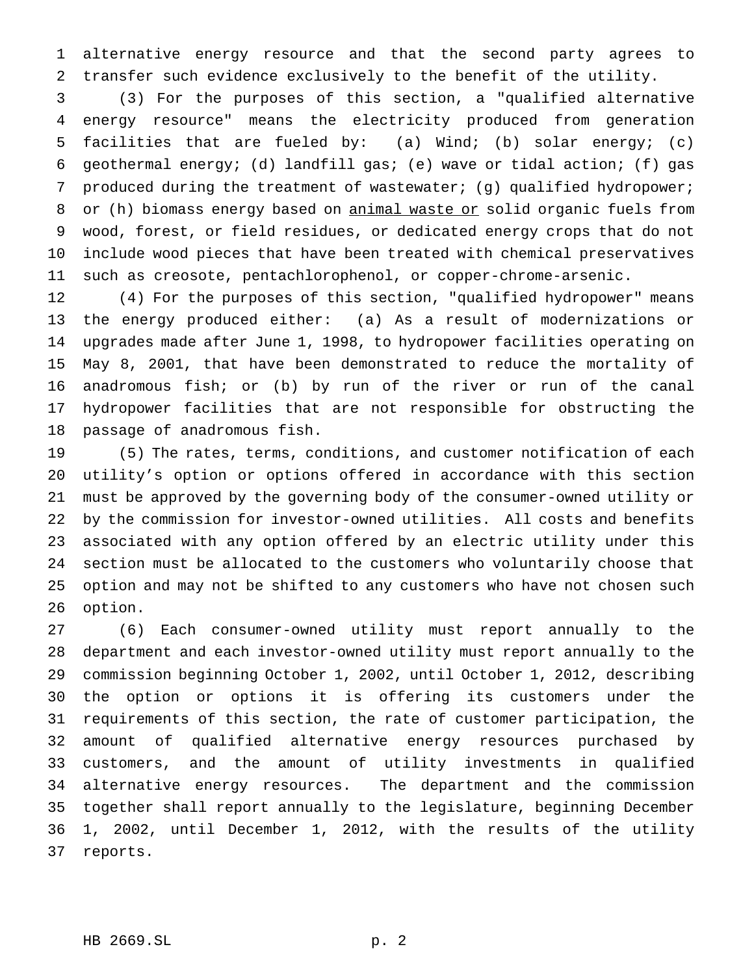alternative energy resource and that the second party agrees to transfer such evidence exclusively to the benefit of the utility.

 (3) For the purposes of this section, a "qualified alternative energy resource" means the electricity produced from generation facilities that are fueled by: (a) Wind; (b) solar energy; (c) geothermal energy; (d) landfill gas; (e) wave or tidal action; (f) gas produced during the treatment of wastewater; (g) qualified hydropower; 8 or (h) biomass energy based on animal waste or solid organic fuels from wood, forest, or field residues, or dedicated energy crops that do not include wood pieces that have been treated with chemical preservatives such as creosote, pentachlorophenol, or copper-chrome-arsenic.

 (4) For the purposes of this section, "qualified hydropower" means the energy produced either: (a) As a result of modernizations or upgrades made after June 1, 1998, to hydropower facilities operating on May 8, 2001, that have been demonstrated to reduce the mortality of anadromous fish; or (b) by run of the river or run of the canal hydropower facilities that are not responsible for obstructing the passage of anadromous fish.

 (5) The rates, terms, conditions, and customer notification of each utility's option or options offered in accordance with this section must be approved by the governing body of the consumer-owned utility or by the commission for investor-owned utilities. All costs and benefits associated with any option offered by an electric utility under this section must be allocated to the customers who voluntarily choose that option and may not be shifted to any customers who have not chosen such option.

 (6) Each consumer-owned utility must report annually to the department and each investor-owned utility must report annually to the commission beginning October 1, 2002, until October 1, 2012, describing the option or options it is offering its customers under the requirements of this section, the rate of customer participation, the amount of qualified alternative energy resources purchased by customers, and the amount of utility investments in qualified alternative energy resources. The department and the commission together shall report annually to the legislature, beginning December 1, 2002, until December 1, 2012, with the results of the utility reports.